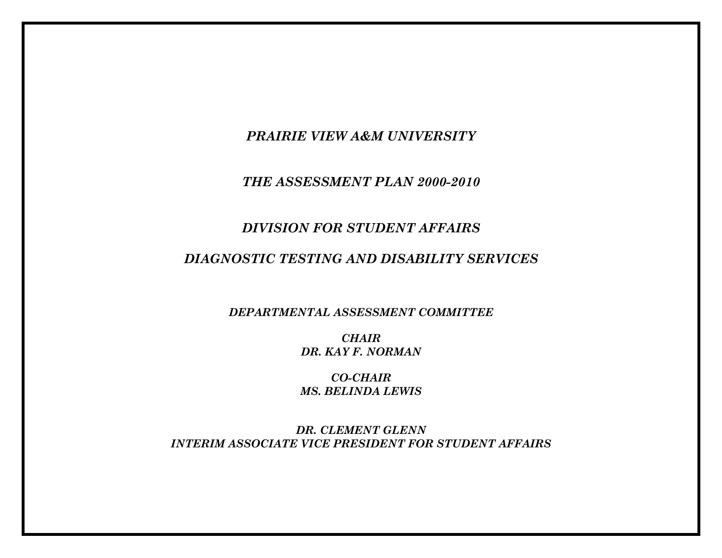*PRAIRIE VIEW A&M UNIVERSITY* 

*THE ASSESSMENT PLAN 2000-2010* 

## *DIVISION FOR STUDENT AFFAIRS*

# *DIAGNOSTIC TESTING AND DISABILITY SERVICES*

*DEPARTMENTAL ASSESSMENT COMMITTEE* 

*CHAIR DR. KAY F. NORMAN* 

*CO-CHAIR MS. BELINDA LEWIS* 

*DR. CLEMENT GLENN INTERIM ASSOCIATE VICE PRESIDENT FOR STUDENT AFFAIRS*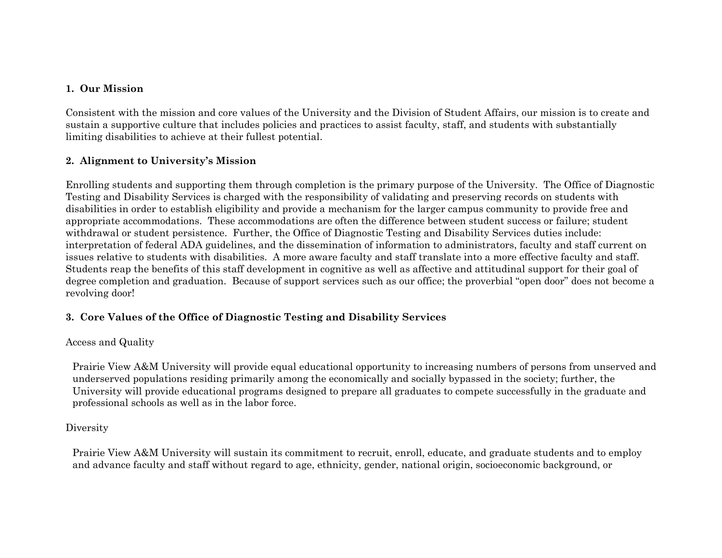#### **1. Our Mission**

Consistent with the mission and core values of the University and the Division of Student Affairs, our mission is to create and sustain a supportive culture that includes policies and practices to assist faculty, staff, and students with substantially limiting disabilities to achieve at their fullest potential.

## **2. Alignment to University's Mission**

Enrolling students and supporting them through completion is the primary purpose of the University. The Office of Diagnostic Testing and Disability Services is charged with the responsibility of validating and preserving records on students with disabilities in order to establish eligibility and provide a mechanism for the larger campus community to provide free and appropriate accommodations. These accommodations are often the difference between student success or failure; student withdrawal or student persistence. Further, the Office of Diagnostic Testing and Disability Services duties include: interpretation of federal ADA guidelines, and the dissemination of information to administrators, faculty and staff current on issues relative to students with disabilities. A more aware faculty and staff translate into a more effective faculty and staff. Students reap the benefits of this staff development in cognitive as well as affective and attitudinal support for their goal of degree completion and graduation. Because of support services such as our office; the proverbial "open door" does not become a revolving door!

## **3. Core Values of the Office of Diagnostic Testing and Disability Services**

#### Access and Quality

Prairie View A&M University will provide equal educational opportunity to increasing numbers of persons from unserved and underserved populations residing primarily among the economically and socially bypassed in the society; further, the University will provide educational programs designed to prepare all graduates to compete successfully in the graduate and professional schools as well as in the labor force.

#### Diversity

Prairie View A&M University will sustain its commitment to recruit, enroll, educate, and graduate students and to employ and advance faculty and staff without regard to age, ethnicity, gender, national origin, socioeconomic background, or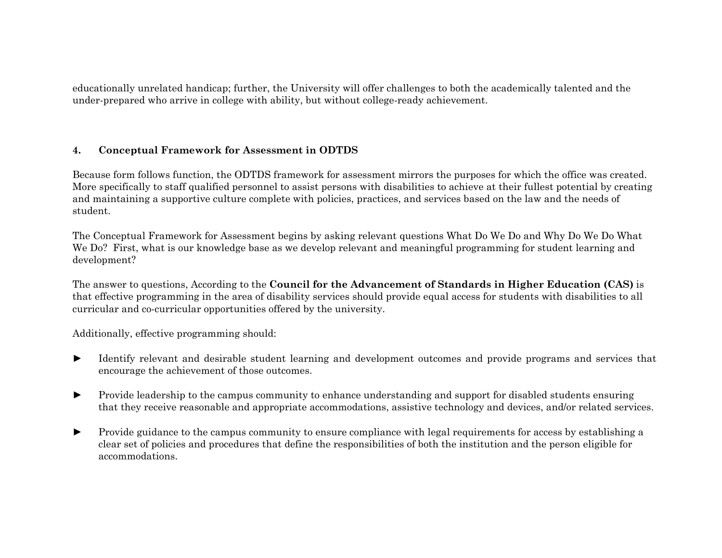educationally unrelated handicap; further, the University will offer challenges to both the academically talented and the under-prepared who arrive in college with ability, but without college-ready achievement.

#### **4. Conceptual Framework for Assessment in ODTDS**

Because form follows function, the ODTDS framework for assessment mirrors the purposes for which the office was created. More specifically to staff qualified personnel to assist persons with disabilities to achieve at their fullest potential by creating and maintaining a supportive culture complete with policies, practices, and services based on the law and the needs of student.

The Conceptual Framework for Assessment begins by asking relevant questions What Do We Do and Why Do We Do What We Do? First, what is our knowledge base as we develop relevant and meaningful programming for student learning and development?

The answer to questions, According to the **Council for the Advancement of Standards in Higher Education (CAS)** is that effective programming in the area of disability services should provide equal access for students with disabilities to all curricular and co-curricular opportunities offered by the university.

Additionally, effective programming should:

- Identify relevant and desirable student learning and development outcomes and provide programs and services that encourage the achievement of those outcomes.
- Provide leadership to the campus community to enhance understanding and support for disabled students ensuring that they receive reasonable and appropriate accommodations, assistive technology and devices, and/or related services.
- ► Provide guidance to the campus community to ensure compliance with legal requirements for access by establishing a clear set of policies and procedures that define the responsibilities of both the institution and the person eligible for accommodations.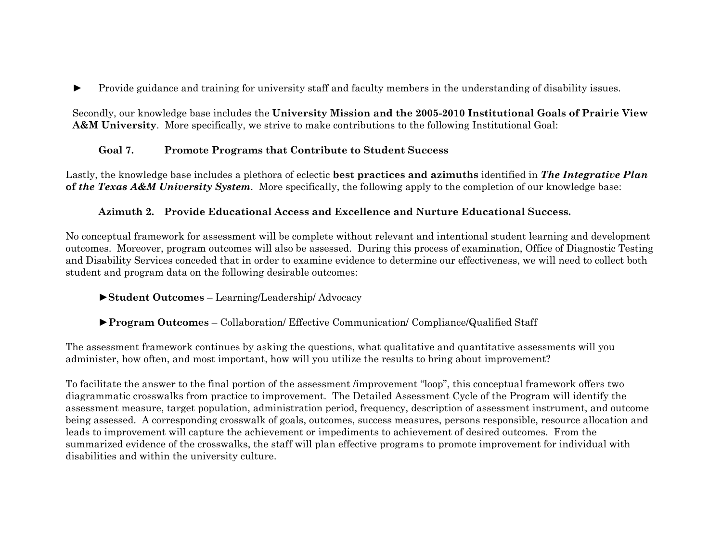Provide guidance and training for university staff and faculty members in the understanding of disability issues.

Secondly, our knowledge base includes the **University Mission and the 2005-2010 Institutional Goals of Prairie View A&M University.** More specifically, we strive to make contributions to the following Institutional Goal:

## **Goal 7. Promote Programs that Contribute to Student Success**

Lastly, the knowledge base includes a plethora of eclectic **best practices and azimuths** identified in *The Integrative Plan* **of** *the Texas A&M University System*. More specifically, the following apply to the completion of our knowledge base:

## **Azimuth 2. Provide Educational Access and Excellence and Nurture Educational Success.**

No conceptual framework for assessment will be complete without relevant and intentional student learning and development outcomes. Moreover, program outcomes will also be assessed. During this process of examination, Office of Diagnostic Testing and Disability Services conceded that in order to examine evidence to determine our effectiveness, we will need to collect both student and program data on the following desirable outcomes:

## **►Student Outcomes** – Learning/Leadership/ Advocacy

## ►**Program Outcomes** – Collaboration/ Effective Communication/ Compliance/Qualified Staff

The assessment framework continues by asking the questions, what qualitative and quantitative assessments will you administer, how often, and most important, how will you utilize the results to bring about improvement?

To facilitate the answer to the final portion of the assessment /improvement "loop", this conceptual framework offers two diagrammatic crosswalks from practice to improvement. The Detailed Assessment Cycle of the Program will identify the assessment measure, target population, administration period, frequency, description of assessment instrument, and outcome being assessed. A corresponding crosswalk of goals, outcomes, success measures, persons responsible, resource allocation and leads to improvement will capture the achievement or impediments to achievement of desired outcomes. From the summarized evidence of the crosswalks, the staff will plan effective programs to promote improvement for individual with disabilities and within the university culture.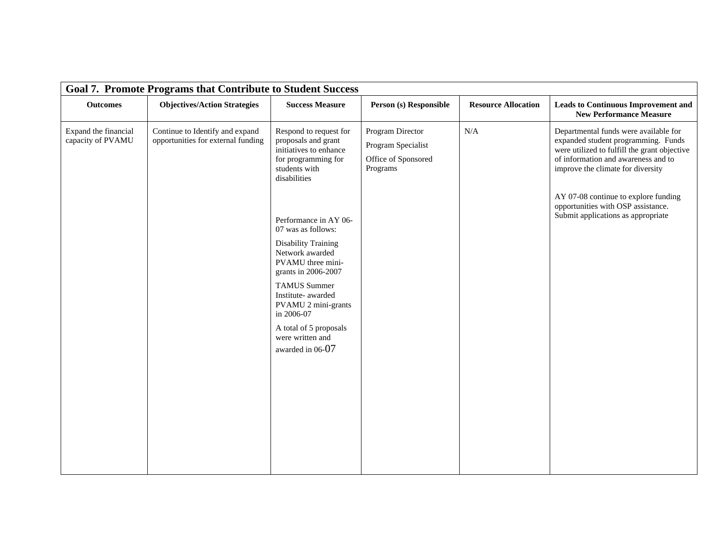| <b>Goal 7. Promote Programs that Contribute to Student Success</b> |                                                                       |                                                                                                                                                                                                                                                                                              |                                                                           |                            |                                                                                                                                                                                                          |  |  |  |  |
|--------------------------------------------------------------------|-----------------------------------------------------------------------|----------------------------------------------------------------------------------------------------------------------------------------------------------------------------------------------------------------------------------------------------------------------------------------------|---------------------------------------------------------------------------|----------------------------|----------------------------------------------------------------------------------------------------------------------------------------------------------------------------------------------------------|--|--|--|--|
| <b>Outcomes</b>                                                    | <b>Objectives/Action Strategies</b>                                   | <b>Success Measure</b>                                                                                                                                                                                                                                                                       | Person (s) Responsible                                                    | <b>Resource Allocation</b> | <b>Leads to Continuous Improvement and</b><br><b>New Performance Measure</b>                                                                                                                             |  |  |  |  |
| Expand the financial<br>capacity of PVAMU                          | Continue to Identify and expand<br>opportunities for external funding | Respond to request for<br>proposals and grant<br>initiatives to enhance<br>for programming for<br>students with<br>disabilities                                                                                                                                                              | Program Director<br>Program Specialist<br>Office of Sponsored<br>Programs | N/A                        | Departmental funds were available for<br>expanded student programming. Funds<br>were utilized to fulfill the grant objective<br>of information and awareness and to<br>improve the climate for diversity |  |  |  |  |
|                                                                    |                                                                       | Performance in AY 06-<br>07 was as follows:<br><b>Disability Training</b><br>Network awarded<br>PVAMU three mini-<br>grants in 2006-2007<br><b>TAMUS Summer</b><br>Institute- awarded<br>PVAMU 2 mini-grants<br>in 2006-07<br>A total of 5 proposals<br>were written and<br>awarded in 06-07 |                                                                           |                            | AY 07-08 continue to explore funding<br>opportunities with OSP assistance.<br>Submit applications as appropriate                                                                                         |  |  |  |  |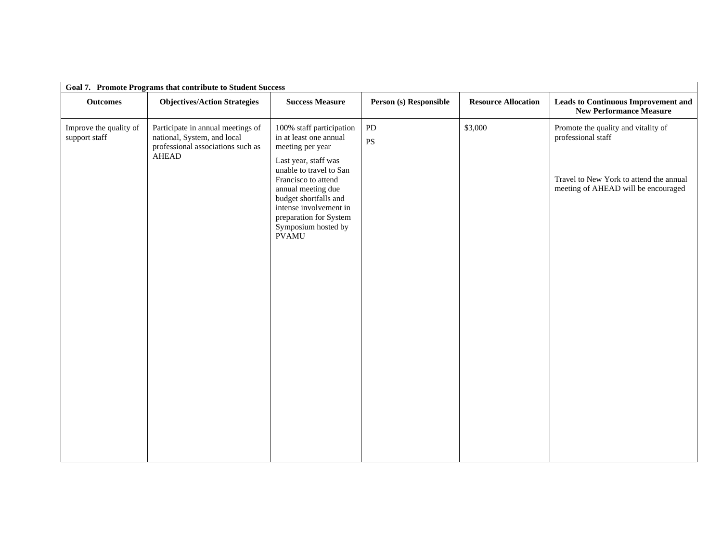| Goal 7. Promote Programs that contribute to Student Success |                                                                                                                |                                                                                                                                                                                                                                                                                            |                              |                            |                                                                                                                                             |  |  |  |  |
|-------------------------------------------------------------|----------------------------------------------------------------------------------------------------------------|--------------------------------------------------------------------------------------------------------------------------------------------------------------------------------------------------------------------------------------------------------------------------------------------|------------------------------|----------------------------|---------------------------------------------------------------------------------------------------------------------------------------------|--|--|--|--|
| <b>Outcomes</b>                                             | <b>Objectives/Action Strategies</b>                                                                            | <b>Success Measure</b>                                                                                                                                                                                                                                                                     | Person (s) Responsible       | <b>Resource Allocation</b> | <b>Leads to Continuous Improvement and</b><br><b>New Performance Measure</b>                                                                |  |  |  |  |
| Improve the quality of<br>support staff                     | Participate in annual meetings of<br>national, System, and local<br>professional associations such as<br>AHEAD | 100% staff participation<br>in at least one annual<br>meeting per year<br>Last year, staff was<br>unable to travel to San<br>Francisco to attend<br>annual meeting due<br>budget shortfalls and<br>intense involvement in<br>preparation for System<br>Symposium hosted by<br><b>PVAMU</b> | PD<br>$\mathbf{P}\mathbf{S}$ | \$3,000                    | Promote the quality and vitality of<br>professional staff<br>Travel to New York to attend the annual<br>meeting of AHEAD will be encouraged |  |  |  |  |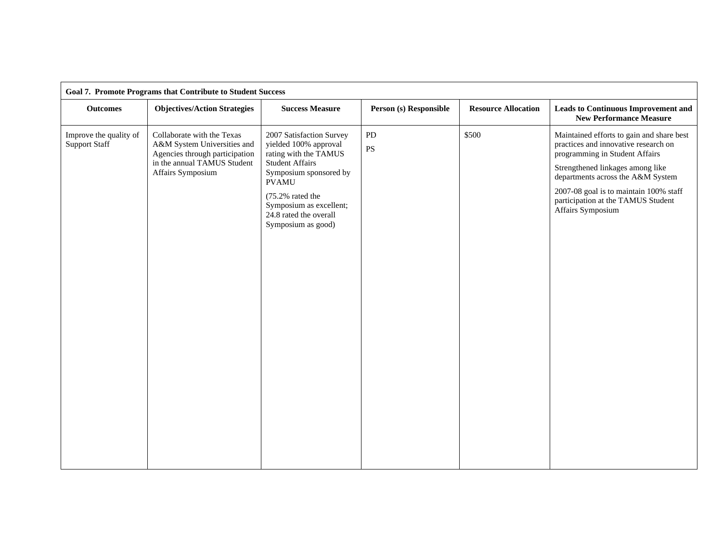| <b>Goal 7. Promote Programs that Contribute to Student Success</b> |                                                                                                                                                 |                                                                                                                                                                                                                                               |                              |                            |                                                                                                                                                                                                                                                                                                   |  |  |  |  |
|--------------------------------------------------------------------|-------------------------------------------------------------------------------------------------------------------------------------------------|-----------------------------------------------------------------------------------------------------------------------------------------------------------------------------------------------------------------------------------------------|------------------------------|----------------------------|---------------------------------------------------------------------------------------------------------------------------------------------------------------------------------------------------------------------------------------------------------------------------------------------------|--|--|--|--|
| <b>Outcomes</b>                                                    | <b>Objectives/Action Strategies</b>                                                                                                             | <b>Success Measure</b>                                                                                                                                                                                                                        | Person (s) Responsible       | <b>Resource Allocation</b> | <b>Leads to Continuous Improvement and</b><br><b>New Performance Measure</b>                                                                                                                                                                                                                      |  |  |  |  |
| Improve the quality of<br><b>Support Staff</b>                     | Collaborate with the Texas<br>A&M System Universities and<br>Agencies through participation<br>in the annual TAMUS Student<br>Affairs Symposium | 2007 Satisfaction Survey<br>yielded 100% approval<br>rating with the TAMUS<br><b>Student Affairs</b><br>Symposium sponsored by<br><b>PVAMU</b><br>(75.2% rated the<br>Symposium as excellent;<br>24.8 rated the overall<br>Symposium as good) | PD<br>$\mathbf{P}\mathbf{S}$ | \$500                      | Maintained efforts to gain and share best<br>practices and innovative research on<br>programming in Student Affairs<br>Strengthened linkages among like<br>departments across the A&M System<br>2007-08 goal is to maintain 100% staff<br>participation at the TAMUS Student<br>Affairs Symposium |  |  |  |  |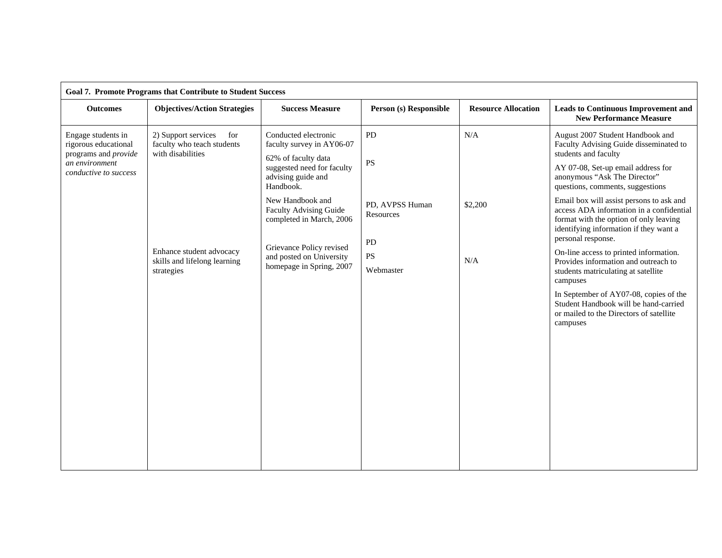| <b>Goal 7. Promote Programs that Contribute to Student Success</b>                                            |                                                                                                                                                         |                                                                                                                                                                                                                                                                                                                |                                                                          |                            |                                                                                                                                                                                                                                                                                                                                                                                                                                                                                                                                                                                                                                                                                               |  |  |  |  |
|---------------------------------------------------------------------------------------------------------------|---------------------------------------------------------------------------------------------------------------------------------------------------------|----------------------------------------------------------------------------------------------------------------------------------------------------------------------------------------------------------------------------------------------------------------------------------------------------------------|--------------------------------------------------------------------------|----------------------------|-----------------------------------------------------------------------------------------------------------------------------------------------------------------------------------------------------------------------------------------------------------------------------------------------------------------------------------------------------------------------------------------------------------------------------------------------------------------------------------------------------------------------------------------------------------------------------------------------------------------------------------------------------------------------------------------------|--|--|--|--|
| <b>Outcomes</b>                                                                                               | <b>Objectives/Action Strategies</b>                                                                                                                     | <b>Success Measure</b>                                                                                                                                                                                                                                                                                         | Person (s) Responsible                                                   | <b>Resource Allocation</b> | <b>Leads to Continuous Improvement and</b><br><b>New Performance Measure</b>                                                                                                                                                                                                                                                                                                                                                                                                                                                                                                                                                                                                                  |  |  |  |  |
| Engage students in<br>rigorous educational<br>programs and provide<br>an environment<br>conductive to success | 2) Support services<br>for<br>faculty who teach students<br>with disabilities<br>Enhance student advocacy<br>skills and lifelong learning<br>strategies | Conducted electronic<br>faculty survey in AY06-07<br>62% of faculty data<br>suggested need for faculty<br>advising guide and<br>Handbook.<br>New Handbook and<br><b>Faculty Advising Guide</b><br>completed in March, 2006<br>Grievance Policy revised<br>and posted on University<br>homepage in Spring, 2007 | PD<br><b>PS</b><br>PD, AVPSS Human<br>Resources<br>PD<br>PS<br>Webmaster | N/A<br>\$2,200<br>N/A      | August 2007 Student Handbook and<br>Faculty Advising Guide disseminated to<br>students and faculty<br>AY 07-08, Set-up email address for<br>anonymous "Ask The Director"<br>questions, comments, suggestions<br>Email box will assist persons to ask and<br>access ADA information in a confidential<br>format with the option of only leaving<br>identifying information if they want a<br>personal response.<br>On-line access to printed information.<br>Provides information and outreach to<br>students matriculating at satellite<br>campuses<br>In September of AY07-08, copies of the<br>Student Handbook will be hand-carried<br>or mailed to the Directors of satellite<br>campuses |  |  |  |  |
|                                                                                                               |                                                                                                                                                         |                                                                                                                                                                                                                                                                                                                |                                                                          |                            |                                                                                                                                                                                                                                                                                                                                                                                                                                                                                                                                                                                                                                                                                               |  |  |  |  |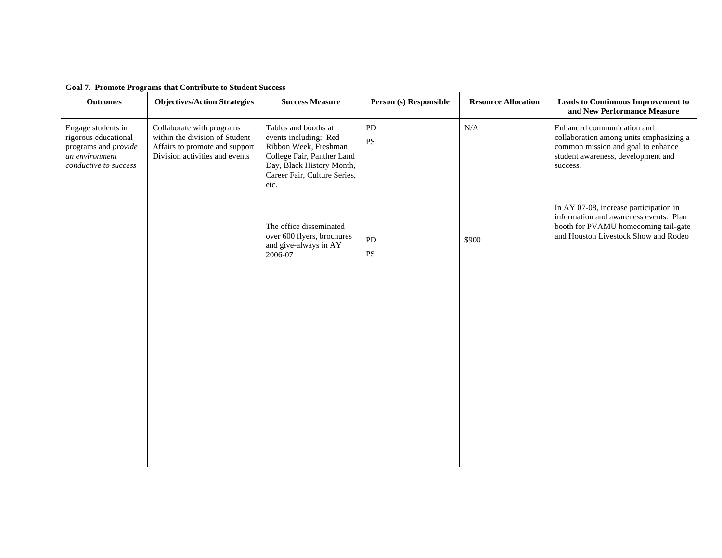| <b>Goal 7. Promote Programs that Contribute to Student Success</b>                                            |                                                                                                                                 |                                                                                                                                                                           |                        |                            |                                                                                                                                                                  |  |  |  |  |
|---------------------------------------------------------------------------------------------------------------|---------------------------------------------------------------------------------------------------------------------------------|---------------------------------------------------------------------------------------------------------------------------------------------------------------------------|------------------------|----------------------------|------------------------------------------------------------------------------------------------------------------------------------------------------------------|--|--|--|--|
| <b>Outcomes</b>                                                                                               | <b>Objectives/Action Strategies</b>                                                                                             | <b>Success Measure</b>                                                                                                                                                    | Person (s) Responsible | <b>Resource Allocation</b> | <b>Leads to Continuous Improvement to</b><br>and New Performance Measure                                                                                         |  |  |  |  |
| Engage students in<br>rigorous educational<br>programs and provide<br>an environment<br>conductive to success | Collaborate with programs<br>within the division of Student<br>Affairs to promote and support<br>Division activities and events | Tables and booths at<br>events including: Red<br>Ribbon Week, Freshman<br>College Fair, Panther Land<br>Day, Black History Month,<br>Career Fair, Culture Series,<br>etc. | PD<br><b>PS</b>        | N/A                        | Enhanced communication and<br>collaboration among units emphasizing a<br>common mission and goal to enhance<br>student awareness, development and<br>success.    |  |  |  |  |
|                                                                                                               |                                                                                                                                 | The office disseminated<br>over 600 flyers, brochures<br>and give-always in AY<br>2006-07                                                                                 | PD<br><b>PS</b>        | \$900                      | In AY 07-08, increase participation in<br>information and awareness events. Plan<br>booth for PVAMU homecoming tail-gate<br>and Houston Livestock Show and Rodeo |  |  |  |  |
|                                                                                                               |                                                                                                                                 |                                                                                                                                                                           |                        |                            |                                                                                                                                                                  |  |  |  |  |
|                                                                                                               |                                                                                                                                 |                                                                                                                                                                           |                        |                            |                                                                                                                                                                  |  |  |  |  |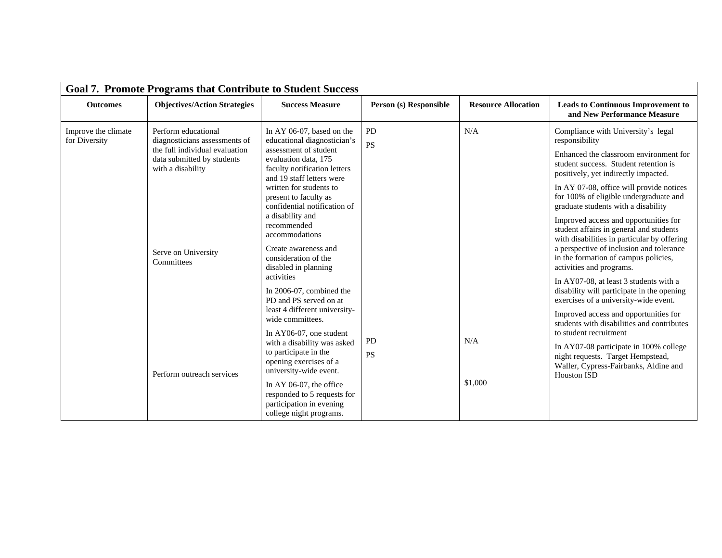| <b>Goal 7. Promote Programs that Contribute to Student Success</b> |                                                                                                                                                                                |                                                                                                                                                                                                                                                                                                                                                                                         |                        |                            |                                                                                                                                                                                                                                                                                                                                                                                                                                                                                                                                                                 |  |  |  |  |
|--------------------------------------------------------------------|--------------------------------------------------------------------------------------------------------------------------------------------------------------------------------|-----------------------------------------------------------------------------------------------------------------------------------------------------------------------------------------------------------------------------------------------------------------------------------------------------------------------------------------------------------------------------------------|------------------------|----------------------------|-----------------------------------------------------------------------------------------------------------------------------------------------------------------------------------------------------------------------------------------------------------------------------------------------------------------------------------------------------------------------------------------------------------------------------------------------------------------------------------------------------------------------------------------------------------------|--|--|--|--|
| <b>Outcomes</b>                                                    | <b>Objectives/Action Strategies</b>                                                                                                                                            | <b>Success Measure</b>                                                                                                                                                                                                                                                                                                                                                                  |                        | <b>Resource Allocation</b> | <b>Leads to Continuous Improvement to</b><br>and New Performance Measure                                                                                                                                                                                                                                                                                                                                                                                                                                                                                        |  |  |  |  |
| Improve the climate<br>for Diversity                               | Perform educational<br>diagnosticians assessments of<br>the full individual evaluation<br>data submitted by students<br>with a disability<br>Serve on University<br>Committees | In AY 06-07, based on the<br>educational diagnostician's<br>assessment of student<br>evaluation data, 175<br>faculty notification letters<br>and 19 staff letters were<br>written for students to<br>present to faculty as<br>confidential notification of<br>a disability and<br>recommended<br>accommodations<br>Create awareness and<br>consideration of the<br>disabled in planning | <b>PD</b><br><b>PS</b> | N/A                        | Compliance with University's legal<br>responsibility<br>Enhanced the classroom environment for<br>student success. Student retention is<br>positively, yet indirectly impacted.<br>In AY 07-08, office will provide notices<br>for 100% of eligible undergraduate and<br>graduate students with a disability<br>Improved access and opportunities for<br>student affairs in general and students<br>with disabilities in particular by offering<br>a perspective of inclusion and tolerance<br>in the formation of campus policies,<br>activities and programs. |  |  |  |  |
|                                                                    | Perform outreach services                                                                                                                                                      | activities<br>In 2006-07, combined the<br>PD and PS served on at<br>least 4 different university-<br>wide committees.<br>In AY06-07, one student<br>with a disability was asked<br>to participate in the<br>opening exercises of a<br>university-wide event.<br>In AY 06-07, the office<br>responded to 5 requests for<br>participation in evening<br>college night programs.           | PD<br><b>PS</b>        | N/A<br>\$1,000             | In AY07-08, at least 3 students with a<br>disability will participate in the opening<br>exercises of a university-wide event.<br>Improved access and opportunities for<br>students with disabilities and contributes<br>to student recruitment<br>In AY07-08 participate in 100% college<br>night requests. Target Hempstead,<br>Waller, Cypress-Fairbanks, Aldine and<br><b>Houston ISD</b>                                                                                                                                                                    |  |  |  |  |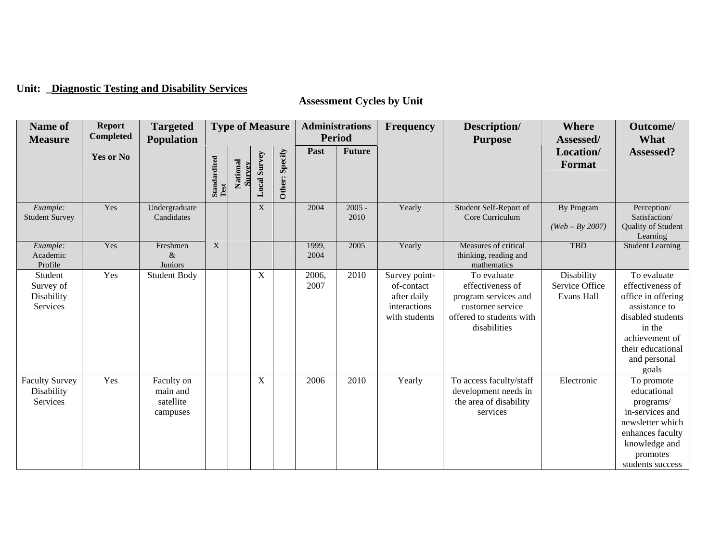# **Unit: \_Diagnostic Testing and Disability Services**

# **Assessment Cycles by Unit**

| Name of<br><b>Measure</b>                              | <b>Report</b><br><b>Completed</b> | <b>Targeted</b><br><b>Population</b>            | <b>Type of Measure</b>                                                                                        |                           | <b>Administrations</b><br><b>Period</b> |                | Frequency     | Description/<br><b>Purpose</b> | <b>Where</b><br>Assessed/                                                   | Outcome/<br>What                                                                                                        |                                            |                                                                                                                                                                       |
|--------------------------------------------------------|-----------------------------------|-------------------------------------------------|---------------------------------------------------------------------------------------------------------------|---------------------------|-----------------------------------------|----------------|---------------|--------------------------------|-----------------------------------------------------------------------------|-------------------------------------------------------------------------------------------------------------------------|--------------------------------------------|-----------------------------------------------------------------------------------------------------------------------------------------------------------------------|
|                                                        | <b>Yes or No</b>                  |                                                 | ${\bf Standardized} \label{thm:1} \begin{minipage}{0.9\linewidth} \hspace*{-0.8cm} {\bf Test} \end{minipage}$ | National<br><b>Survey</b> | <b>Local Survey</b>                     | Other: Specify | Past          | <b>Future</b>                  |                                                                             |                                                                                                                         | Location/<br>Format                        | Assessed?                                                                                                                                                             |
| Example:<br><b>Student Survey</b>                      | Yes                               | Undergraduate<br>Candidates                     |                                                                                                               |                           | X                                       |                | 2004          | $2005 -$<br>2010               | Yearly                                                                      | Student Self-Report of<br>Core Curriculum                                                                               | By Program<br>$(Web - By 2007)$            | Perception/<br>Satisfaction/<br>Quality of Student<br>Learning                                                                                                        |
| Example:<br>Academic<br>Profile                        | Yes                               | Freshmen<br>$\&$<br>Juniors                     | X                                                                                                             |                           |                                         |                | 1999,<br>2004 | 2005                           | Yearly                                                                      | Measures of critical<br>thinking, reading and<br>mathematics                                                            | <b>TBD</b>                                 | <b>Student Learning</b>                                                                                                                                               |
| Student<br>Survey of<br>Disability<br>Services         | Yes                               | <b>Student Body</b>                             |                                                                                                               |                           | X                                       |                | 2006,<br>2007 | 2010                           | Survey point-<br>of-contact<br>after daily<br>interactions<br>with students | To evaluate<br>effectiveness of<br>program services and<br>customer service<br>offered to students with<br>disabilities | Disability<br>Service Office<br>Evans Hall | To evaluate<br>effectiveness of<br>office in offering<br>assistance to<br>disabled students<br>in the<br>achievement of<br>their educational<br>and personal<br>goals |
| <b>Faculty Survey</b><br>Disability<br><b>Services</b> | Yes                               | Faculty on<br>main and<br>satellite<br>campuses |                                                                                                               |                           | X                                       |                | 2006          | 2010                           | Yearly                                                                      | To access faculty/staff<br>development needs in<br>the area of disability<br>services                                   | Electronic                                 | To promote<br>educational<br>programs/<br>in-services and<br>newsletter which<br>enhances faculty<br>knowledge and<br>promotes<br>students success                    |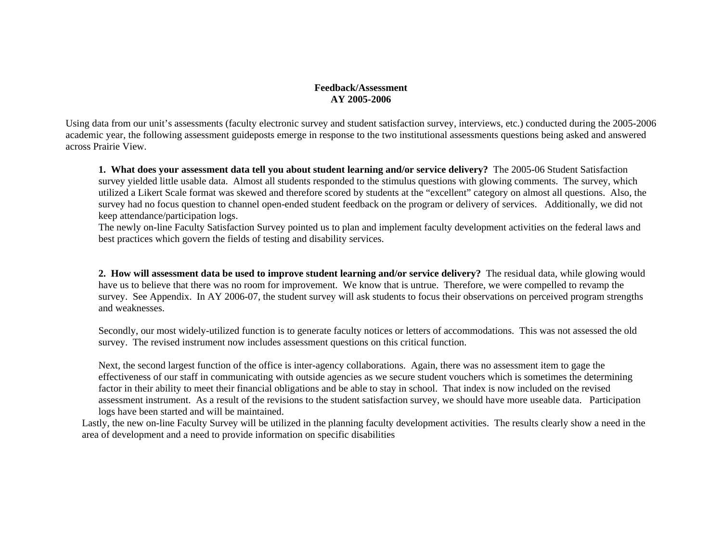#### **Feedback/Assessment AY 2005-2006**

Using data from our unit's assessments (faculty electronic survey and student satisfaction survey, interviews, etc.) conducted during the 2005-2006 academic year, the following assessment guideposts emerge in response to the two institutional assessments questions being asked and answered across Prairie View.

**1. What does your assessment data tell you about student learning and/or service delivery?** The 2005-06 Student Satisfaction survey yielded little usable data. Almost all students responded to the stimulus questions with glowing comments. The survey, which utilized a Likert Scale format was skewed and therefore scored by students at the "excellent" category on almost all questions. Also, the survey had no focus question to channel open-ended student feedback on the program or delivery of services. Additionally, we did not keep attendance/participation logs.

The newly on-line Faculty Satisfaction Survey pointed us to plan and implement faculty development activities on the federal laws and best practices which govern the fields of testing and disability services.

**2. How will assessment data be used to improve student learning and/or service delivery?** The residual data, while glowing would have us to believe that there was no room for improvement. We know that is untrue. Therefore, we were compelled to revamp the survey. See Appendix. In AY 2006-07, the student survey will ask students to focus their observations on perceived program strengths and weaknesses.

Secondly, our most widely-utilized function is to generate faculty notices or letters of accommodations. This was not assessed the old survey. The revised instrument now includes assessment questions on this critical function.

Next, the second largest function of the office is inter-agency collaborations. Again, there was no assessment item to gage the effectiveness of our staff in communicating with outside agencies as we secure student vouchers which is sometimes the determining factor in their ability to meet their financial obligations and be able to stay in school. That index is now included on the revised assessment instrument. As a result of the revisions to the student satisfaction survey, we should have more useable data. Participation logs have been started and will be maintained.

Lastly, the new on-line Faculty Survey will be utilized in the planning faculty development activities. The results clearly show a need in the area of development and a need to provide information on specific disabilities